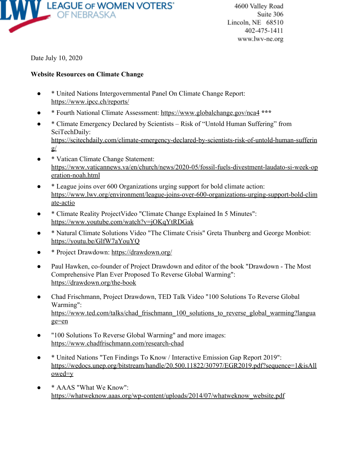

Date July 10, 2020

## **Website Resources on Climate Change**

- \* United Nations Intergovernmental Panel On Climate Change Report: [https://www.ipcc.ch/reports/](https://lwvarapahoedouglas.us10.list-manage.com/track/click?u=01416b72b0005f65eb72a8a11&id=f33fabe6ce&e=f197f2cfef)
- \* Fourth National Climate Assessment: [https://www.globalchange.gov/nca4](https://lwvarapahoedouglas.us10.list-manage.com/track/click?u=01416b72b0005f65eb72a8a11&id=24ec3a8b2d&e=f197f2cfef) **\*\*\***
- \* Climate Emergency Declared by Scientists Risk of "Untold Human Suffering" from SciTechDaily: [https://scitechdaily.com/climate-emergency-declared-by-scientists-risk-of-untold-human-sufferin](https://lwvarapahoedouglas.us10.list-manage.com/track/click?u=01416b72b0005f65eb72a8a11&id=7c59ae6bab&e=f197f2cfef)  $g/$
- \* Vatican Climate Change Statement: [https://www.vaticannews.va/en/church/news/2020-05/fossil-fuels-divestment-laudato-si-week-op](https://lwvarapahoedouglas.us10.list-manage.com/track/click?u=01416b72b0005f65eb72a8a11&id=ecfb8de021&e=f197f2cfef) [eration-noah.html](https://lwvarapahoedouglas.us10.list-manage.com/track/click?u=01416b72b0005f65eb72a8a11&id=ecfb8de021&e=f197f2cfef)
- \* League joins over 600 Organizations urging support for bold climate action: [https://www.lwv.org/environment/league-joins-over-600-organizations-urging-support-bold-clim](https://lwvarapahoedouglas.us10.list-manage.com/track/click?u=01416b72b0005f65eb72a8a11&id=cf2d1ab9e3&e=f197f2cfef) [ate-actio](https://lwvarapahoedouglas.us10.list-manage.com/track/click?u=01416b72b0005f65eb72a8a11&id=cf2d1ab9e3&e=f197f2cfef)
- \* Climate Reality ProjectVideo "Climate Change Explained In 5 Minutes": [https://www.youtube.com/watch?v=jOKqYtRDGak](https://lwvarapahoedouglas.us10.list-manage.com/track/click?u=01416b72b0005f65eb72a8a11&id=c2c4455916&e=f197f2cfef)
- \* Natural Climate Solutions Video "The Climate Crisis" Greta Thunberg and George Monbiot: [https://youtu.be/GlfW7aYouYQ](https://lwvarapahoedouglas.us10.list-manage.com/track/click?u=01416b72b0005f65eb72a8a11&id=8d42fad7da&e=f197f2cfef)
- \* Project Drawdown: [https://drawdown.org/](https://lwvarapahoedouglas.us10.list-manage.com/track/click?u=01416b72b0005f65eb72a8a11&id=f87ef862fa&e=f197f2cfef)
- Paul Hawken, co-founder of Project Drawdown and editor of the book "Drawdown The Most" Comprehensive Plan Ever Proposed To Reverse Global Warming": [https://drawdown.org/the-book](https://lwvarapahoedouglas.us10.list-manage.com/track/click?u=01416b72b0005f65eb72a8a11&id=4cc27e3447&e=f197f2cfef)
- Chad Frischmann, Project Drawdown, TED Talk Video "100 Solutions To Reverse Global Warming": [https://www.ted.com/talks/chad\\_frischmann\\_100\\_solutions\\_to\\_reverse\\_global\\_warming?langua](https://lwvarapahoedouglas.us10.list-manage.com/track/click?u=01416b72b0005f65eb72a8a11&id=9e86734b9c&e=f197f2cfef) [ge=en](https://lwvarapahoedouglas.us10.list-manage.com/track/click?u=01416b72b0005f65eb72a8a11&id=9e86734b9c&e=f197f2cfef)
- "100 Solutions To Reverse Global Warming" and more images: [https://www.chadfrischmann.com/research-chad](https://lwvarapahoedouglas.us10.list-manage.com/track/click?u=01416b72b0005f65eb72a8a11&id=d733d780cf&e=f197f2cfef)
- \* United Nations "Ten Findings To Know / Interactive Emission Gap Report 2019": [https://wedocs.unep.org/bitstream/handle/20.500.11822/30797/EGR2019.pdf?sequence=1&isAll](https://lwvarapahoedouglas.us10.list-manage.com/track/click?u=01416b72b0005f65eb72a8a11&id=6782d366f3&e=f197f2cfef) [owed=y](https://lwvarapahoedouglas.us10.list-manage.com/track/click?u=01416b72b0005f65eb72a8a11&id=6782d366f3&e=f197f2cfef)
- \* AAAS "What We Know": [https://whatweknow.aaas.org/wp-content/uploads/2014/07/whatweknow\\_website.pdf](https://lwvarapahoedouglas.us10.list-manage.com/track/click?u=01416b72b0005f65eb72a8a11&id=2abe366a7d&e=f197f2cfef)